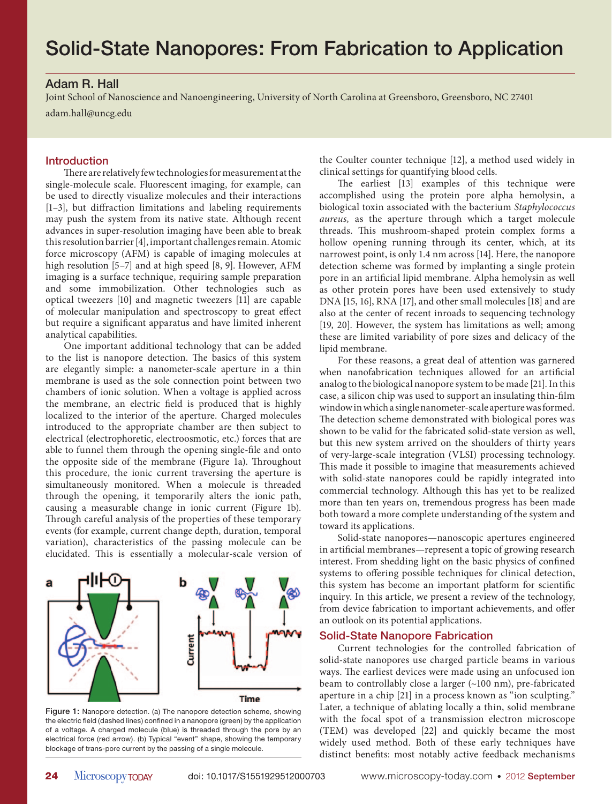#### Adam R. Hall

Joint School of Nanoscience and Nanoengineering, University of North Carolina at Greensboro, Greensboro, NC 27401

adam.hall@uncg.edu

#### **Introduction**

There are relatively few technologies for measurement at the single-molecule scale. Fluorescent imaging, for example, can be used to directly visualize molecules and their interactions  $[1-3]$ , but diffraction limitations and labeling requirements may push the system from its native state. Although recent advances in super-resolution imaging have been able to break this resolution barrier [4], important challenges remain. Atomic force microscopy (AFM) is capable of imaging molecules at high resolution [5–7] and at high speed [8, 9]. However, AFM imaging is a surface technique, requiring sample preparation and some immobilization. Other technologies such as optical tweezers [10] and magnetic tweezers [11] are capable of molecular manipulation and spectroscopy to great effect but require a significant apparatus and have limited inherent analytical capabilities.

One important additional technology that can be added to the list is nanopore detection. The basics of this system are elegantly simple: a nanometer-scale aperture in a thin membrane is used as the sole connection point between two chambers of ionic solution. When a voltage is applied across the membrane, an electric field is produced that is highly localized to the interior of the aperture. Charged molecules introduced to the appropriate chamber are then subject to electrical (electrophoretic, electroosmotic, etc.) forces that are able to funnel them through the opening single-file and onto the opposite side of the membrane (Figure 1a). Throughout this procedure, the ionic current traversing the aperture is simultaneously monitored. When a molecule is threaded through the opening, it temporarily alters the ionic path, causing a measurable change in ionic current (Figure 1b). Through careful analysis of the properties of these temporary events (for example, current change depth, duration, temporal variation), characteristics of the passing molecule can be elucidated. This is essentially a molecular-scale version of



Figure 1: Nanopore detection. (a) The nanopore detection scheme, showing the electric field (dashed lines) confined in a nanopore (green) by the application of a voltage. A charged molecule (blue) is threaded through the pore by an electrical force (red arrow). (b) Typical "event" shape, showing the temporary blockage of trans-pore current by the passing of a single molecule.

the Coulter counter technique [12], a method used widely in clinical settings for quantifying blood cells.

The earliest [13] examples of this technique were accomplished using the protein pore alpha hemolysin, a biological toxin associated with the bacterium Staphylococcus aureus, as the aperture through which a target molecule threads. This mushroom-shaped protein complex forms a hollow opening running through its center, which, at its narrowest point, is only 1.4 nm across [14]. Here, the nanopore detection scheme was formed by implanting a single protein pore in an artificial lipid membrane. Alpha hemolysin as well as other protein pores have been used extensively to study DNA [15, 16], RNA [17], and other small molecules [18] and are also at the center of recent inroads to sequencing technology [19, 20]. However, the system has limitations as well; among these are limited variability of pore sizes and delicacy of the lipid membrane.

For these reasons, a great deal of attention was garnered when nanofabrication techniques allowed for an artificial analog to the biological nanopore system to be made [21]. In this case, a silicon chip was used to support an insulating thin-film window in which a single nanometer-scale aperture was formed. The detection scheme demonstrated with biological pores was shown to be valid for the fabricated solid-state version as well, but this new system arrived on the shoulders of thirty years of very-large-scale integration (VLSI) processing technology. This made it possible to imagine that measurements achieved with solid-state nanopores could be rapidly integrated into commercial technology. Although this has yet to be realized more than ten years on, tremendous progress has been made both toward a more complete understanding of the system and toward its applications.

Solid-state nanopores—nanoscopic apertures engineered in artificial membranes—represent a topic of growing research interest. From shedding light on the basic physics of confined systems to offering possible techniques for clinical detection, this system has become an important platform for scientific inquiry. In this article, we present a review of the technology, from device fabrication to important achievements, and offer an outlook on its potential applications.

#### Solid-State Nanopore Fabrication

Current technologies for the controlled fabrication of solid-state nanopores use charged particle beams in various ways. The earliest devices were made using an unfocused ion beam to controllably close a larger (~100 nm), pre-fabricated aperture in a chip [21] in a process known as "ion sculpting." Later, a technique of ablating locally a thin, solid membrane with the focal spot of a transmission electron microscope (TEM) was developed [22] and quickly became the most widely used method. Both of these early techniques have distinct benefits: most notably active feedback mechanisms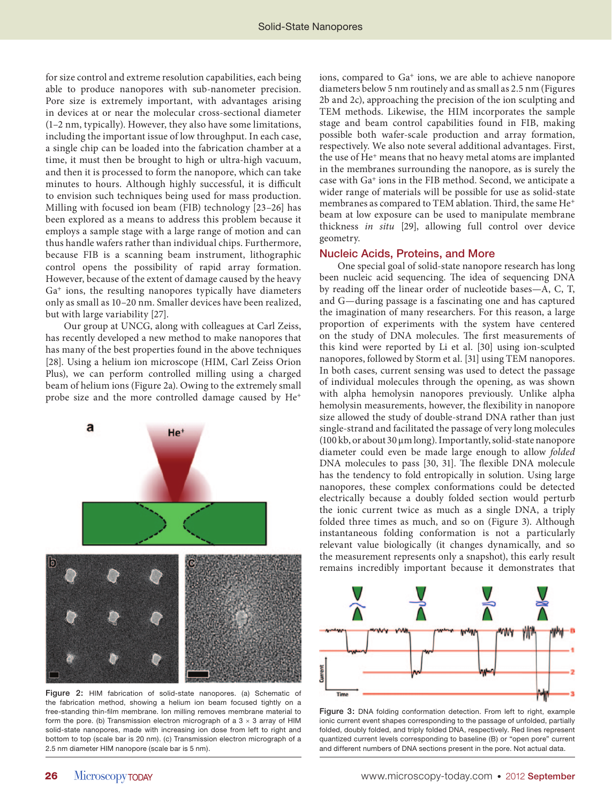for size control and extreme resolution capabilities, each being able to produce nanopores with sub-nanometer precision. Pore size is extremely important, with advantages arising in devices at or near the molecular cross-sectional diameter (1–2 nm, typically). However, they also have some limitations, including the important issue of low throughput. In each case, a single chip can be loaded into the fabrication chamber at a time, it must then be brought to high or ultra-high vacuum, and then it is processed to form the nanopore, which can take minutes to hours. Although highly successful, it is difficult to envision such techniques being used for mass production. Milling with focused ion beam (FIB) technology [23–26] has been explored as a means to address this problem because it employs a sample stage with a large range of motion and can thus handle wafers rather than individual chips. Furthermore, because FIB is a scanning beam instrument, lithographic control opens the possibility of rapid array formation. However, because of the extent of damage caused by the heavy Ga+ ions, the resulting nanopores typically have diameters only as small as 10–20 nm. Smaller devices have been realized, but with large variability [27].

Our group at UNCG, along with colleagues at Carl Zeiss, has recently developed a new method to make nanopores that has many of the best properties found in the above techniques [28]. Using a helium ion microscope (HIM, Carl Zeiss Orion Plus), we can perform controlled milling using a charged beam of helium ions (Figure 2a). Owing to the extremely small probe size and the more controlled damage caused by He<sup>+</sup>



Figure 2: HIM fabrication of solid-state nanopores. (a) Schematic of the fabrication method, showing a helium ion beam focused tightly on a free-standing thin-film membrane. Ion milling removes membrane material to form the pore. (b) Transmission electron micrograph of a  $3 \times 3$  array of HIM solid-state nanopores, made with increasing ion dose from left to right and bottom to top (scale bar is 20 nm). (c) Transmission electron micrograph of a 2.5 nm diameter HIM nanopore (scale bar is 5 nm).

ions, compared to Ga<sup>+</sup> ions, we are able to achieve nanopore diameters below 5 nm routinely and as small as 2.5 nm (Figures 2b and 2c), approaching the precision of the ion sculpting and TEM methods. Likewise, the HIM incorporates the sample stage and beam control capabilities found in FIB, making possible both wafer-scale production and array formation, respectively. We also note several additional advantages. First, the use of He+ means that no heavy metal atoms are implanted in the membranes surrounding the nanopore, as is surely the case with Ga+ ions in the FIB method. Second, we anticipate a wider range of materials will be possible for use as solid-state membranes as compared to TEM ablation. Third, the same  ${\rm He^+}$ beam at low exposure can be used to manipulate membrane thickness in situ [29], allowing full control over device geometry.

#### Nucleic Acids, Proteins, and More

One special goal of solid-state nanopore research has long been nucleic acid sequencing. The idea of sequencing DNA by reading off the linear order of nucleotide bases-A, C, T, and G—during passage is a fascinating one and has captured the imagination of many researchers. For this reason, a large proportion of experiments with the system have centered on the study of DNA molecules. The first measurements of this kind were reported by Li et al. [30] using ion-sculpted nanopores, followed by Storm et al. [31] using TEM nanopores. In both cases, current sensing was used to detect the passage of individual molecules through the opening, as was shown with alpha hemolysin nanopores previously. Unlike alpha hemolysin measurements, however, the flexibility in nanopore size allowed the study of double-strand DNA rather than just single-strand and facilitated the passage of very long molecules (100 kb, or about 30 μm long). Importantly, solid-state nanopore diameter could even be made large enough to allow folded DNA molecules to pass [30, 31]. The flexible DNA molecule has the tendency to fold entropically in solution. Using large nanopores, these complex conformations could be detected electrically because a doubly folded section would perturb the ionic current twice as much as a single DNA, a triply folded three times as much, and so on (Figure 3). Although instantaneous folding conformation is not a particularly relevant value biologically (it changes dynamically, and so the measurement represents only a snapshot), this early result remains incredibly important because it demonstrates that



Figure 3: DNA folding conformation detection. From left to right, example ionic current event shapes corresponding to the passage of unfolded, partially folded, doubly folded, and triply folded DNA, respectively. Red lines represent quantized current levels corresponding to baseline (B) or "open pore" current and different numbers of DNA sections present in the pore. Not actual data.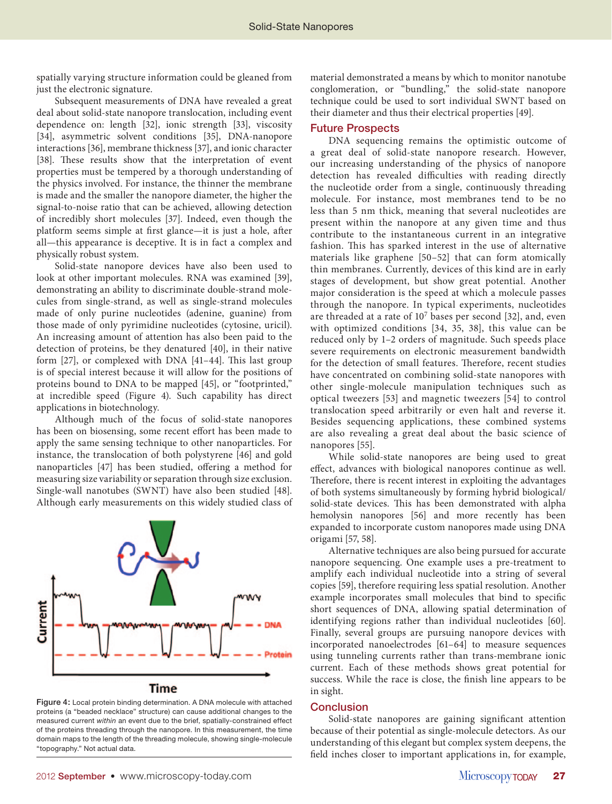spatially varying structure information could be gleaned from just the electronic signature.

Subsequent measurements of DNA have revealed a great deal about solid-state nanopore translocation, including event dependence on: length [32], ionic strength [33], viscosity [34], asymmetric solvent conditions [35], DNA-nanopore interactions [36], membrane thickness [37], and ionic character [38]. These results show that the interpretation of event properties must be tempered by a thorough understanding of the physics involved. For instance, the thinner the membrane is made and the smaller the nanopore diameter, the higher the signal-to-noise ratio that can be achieved, allowing detection of incredibly short molecules [37]. Indeed, even though the platform seems simple at first glance—it is just a hole, after all—this appearance is deceptive. It is in fact a complex and physically robust system.

Solid-state nanopore devices have also been used to look at other important molecules. RNA was examined [39], demonstrating an ability to discriminate double-strand molecules from single-strand, as well as single-strand molecules made of only purine nucleotides (adenine, guanine) from those made of only pyrimidine nucleotides (cytosine, uricil). An increasing amount of attention has also been paid to the detection of proteins, be they denatured [40], in their native form  $[27]$ , or complexed with DNA  $[41-44]$ . This last group is of special interest because it will allow for the positions of proteins bound to DNA to be mapped [45], or "footprinted," at incredible speed (Figure 4). Such capability has direct applications in biotechnology.

Although much of the focus of solid-state nanopores has been on biosensing, some recent effort has been made to apply the same sensing technique to other nanoparticles. For instance, the translocation of both polystyrene [46] and gold nanoparticles [47] has been studied, offering a method for measuring size variability or separation through size exclusion. Single-wall nanotubes (SWNT) have also been studied [48]. Although early measurements on this widely studied class of



Figure 4: Local protein binding determination. A DNA molecule with attached proteins (a "beaded necklace" structure) can cause additional changes to the measured current *within* an event due to the brief, spatially-constrained effect of the proteins threading through the nanopore. In this measurement, the time domain maps to the length of the threading molecule, showing single-molecule "topography." Not actual data.

material demonstrated a means by which to monitor nanotube conglomeration, or "bundling," the solid-state nanopore technique could be used to sort individual SWNT based on their diameter and thus their electrical properties [49].

#### Future Prospects

DNA sequencing remains the optimistic outcome of a great deal of solid-state nanopore research. However, our increasing understanding of the physics of nanopore detection has revealed difficulties with reading directly the nucleotide order from a single, continuously threading molecule. For instance, most membranes tend to be no less than 5 nm thick, meaning that several nucleotides are present within the nanopore at any given time and thus contribute to the instantaneous current in an integrative fashion. This has sparked interest in the use of alternative materials like graphene [50–52] that can form atomically thin membranes. Currently, devices of this kind are in early stages of development, but show great potential. Another major consideration is the speed at which a molecule passes through the nanopore. In typical experiments, nucleotides are threaded at a rate of 107 bases per second [32], and, even with optimized conditions [34, 35, 38], this value can be reduced only by 1–2 orders of magnitude. Such speeds place severe requirements on electronic measurement bandwidth for the detection of small features. Therefore, recent studies have concentrated on combining solid-state nanopores with other single-molecule manipulation techniques such as optical tweezers [53] and magnetic tweezers [54] to control translocation speed arbitrarily or even halt and reverse it. Besides sequencing applications, these combined systems are also revealing a great deal about the basic science of nanopores [55].

While solid-state nanopores are being used to great effect, advances with biological nanopores continue as well. Therefore, there is recent interest in exploiting the advantages of both systems simultaneously by forming hybrid biological/ solid-state devices. This has been demonstrated with alpha hemolysin nanopores [56] and more recently has been expanded to incorporate custom nanopores made using DNA origami [57, 58].

Alternative techniques are also being pursued for accurate nanopore sequencing. One example uses a pre-treatment to amplify each individual nucleotide into a string of several copies [59], therefore requiring less spatial resolution. Another example incorporates small molecules that bind to specific short sequences of DNA, allowing spatial determination of identifying regions rather than individual nucleotides [60]. Finally, several groups are pursuing nanopore devices with incorporated nanoelectrodes [61–64] to measure sequences using tunneling currents rather than trans-membrane ionic current. Each of these methods shows great potential for success. While the race is close, the finish line appears to be in sight.

#### **Conclusion**

Solid-state nanopores are gaining significant attention because of their potential as single-molecule detectors. As our understanding of this elegant but complex system deepens, the field inches closer to important applications in, for example,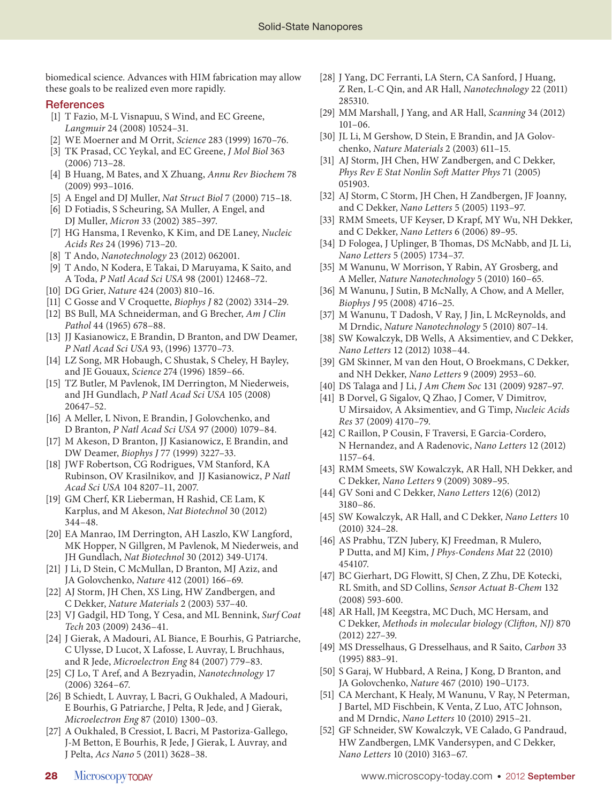biomedical science. Advances with HIM fabrication may allow these goals to be realized even more rapidly.

#### **References**

- [1] T Fazio, M-L Visnapuu, S Wind, and EC Greene, Langmuir 24 (2008) 10524–31.
- [2] WE Moerner and M Orrit, Science 283 (1999) 1670–76.
- [3] TK Prasad, CC Yeykal, and EC Greene, *J Mol Biol* 363 (2006) 713–28.
- [4] B Huang, M Bates, and X Zhuang, Annu Rev Biochem 78 (2009) 993–1016.
- [5] A Engel and DJ Muller, Nat Struct Biol 7 (2000) 715–18.
- [6] D Fotiadis, S Scheuring, SA Muller, A Engel, and DJ Muller, Micron 33 (2002) 385–397.
- [7] HG Hansma, I Revenko, K Kim, and DE Laney, Nucleic Acids Res 24 (1996) 713–20.
- [8] T Ando, Nanotechnology 23 (2012) 062001.
- [9] T Ando, N Kodera, E Takai, D Maruyama, K Saito, and A Toda, P Natl Acad Sci USA 98 (2001) 12468–72.
- [10] DG Grier, Nature 424 (2003) 810–16.
- [11] C Gosse and V Croquette, Biophys J 82 (2002) 3314–29.
- [12] BS Bull, MA Schneiderman, and G Brecher, Am J Clin Pathol 44 (1965) 678–88.
- [13] JJ Kasianowicz, E Brandin, D Branton, and DW Deamer, P Natl Acad Sci USA 93, (1996) 13770–73.
- [14] LZ Song, MR Hobaugh, C Shustak, S Cheley, H Bayley, and JE Gouaux, Science 274 (1996) 1859–66.
- [15] TZ Butler, M Pavlenok, IM Derrington, M Niederweis, and JH Gundlach, P Natl Acad Sci USA 105 (2008) 20647–52.
- [16] A Meller, L Nivon, E Brandin, J Golovchenko, and D Branton, P Natl Acad Sci USA 97 (2000) 1079–84.
- [17] M Akeson, D Branton, JJ Kasianowicz, E Brandin, and DW Deamer, Biophys J 77 (1999) 3227–33.
- [18] JWF Robertson, CG Rodrigues, VM Stanford, KA Rubinson, OV Krasilnikov, and JJ Kasianowicz, P Natl Acad Sci USA 104 8207–11, 2007.
- [19] GM Cherf, KR Lieberman, H Rashid, CE Lam, K Karplus, and M Akeson, Nat Biotechnol 30 (2012) 344–48.
- [20] EA Manrao, IM Derrington, AH Laszlo, KW Langford, MK Hopper, N Gillgren, M Pavlenok, M Niederweis, and JH Gundlach, Nat Biotechnol 30 (2012) 349-U174.
- [21] J Li, D Stein, C McMullan, D Branton, MJ Aziz, and JA Golovchenko, Nature 412 (2001) 166–69.
- [22] AJ Storm, JH Chen, XS Ling, HW Zandbergen, and C Dekker, Nature Materials 2 (2003) 537–40.
- [23] VJ Gadgil, HD Tong, Y Cesa, and ML Bennink, Surf Coat Tech 203 (2009) 2436–41.
- [24] J Gierak, A Madouri, AL Biance, E Bourhis, G Patriarche, C Ulysse, D Lucot, X Lafosse, L Auvray, L Bruchhaus, and R Jede, Microelectron Eng 84 (2007) 779–83.
- [25] CJ Lo, T Aref, and A Bezryadin, Nanotechnology 17 (2006) 3264–67.
- [26] B Schiedt, L Auvray, L Bacri, G Oukhaled, A Madouri, E Bourhis, G Patriarche, J Pelta, R Jede, and J Gierak, Microelectron Eng 87 (2010) 1300–03.
- [27] A Oukhaled, B Cressiot, L Bacri, M Pastoriza-Gallego, J-M Betton, E Bourhis, R Jede, J Gierak, L Auvray, and J Pelta, Acs Nano 5 (2011) 3628–38.
- [28] J Yang, DC Ferranti, LA Stern, CA Sanford, J Huang, Z Ren, L-C Qin, and AR Hall, Nanotechnology 22 (2011) 285310.
- [29] MM Marshall, J Yang, and AR Hall, Scanning 34 (2012) 101–06.
- [30] JL Li, M Gershow, D Stein, E Brandin, and JA Golovchenko, Nature Materials 2 (2003) 611–15.
- [31] AJ Storm, JH Chen, HW Zandbergen, and C Dekker, Phys Rev E Stat Nonlin Soft Matter Phys 71 (2005) 051903.
- [32] AJ Storm, C Storm, JH Chen, H Zandbergen, JF Joanny, and C Dekker, Nano Letters 5 (2005) 1193–97.
- [33] RMM Smeets, UF Keyser, D Krapf, MY Wu, NH Dekker, and C Dekker, Nano Letters 6 (2006) 89–95.
- [34] D Fologea, J Uplinger, B Thomas, DS McNabb, and JL Li, Nano Letters 5 (2005) 1734–37.
- [35] M Wanunu, W Morrison, Y Rabin, AY Grosberg, and A Meller, Nature Nanotechnology 5 (2010) 160–65.
- [36] M Wanunu, J Sutin, B McNally, A Chow, and A Meller, Biophys J 95 (2008) 4716–25.
- [37] M Wanunu, T Dadosh, V Ray, J Jin, L McReynolds, and M Drndic, Nature Nanotechnology 5 (2010) 807–14.
- [38] SW Kowalczyk, DB Wells, A Aksimentiev, and C Dekker, Nano Letters 12 (2012) 1038–44.
- [39] GM Skinner, M van den Hout, O Broekmans, C Dekker, and NH Dekker, Nano Letters 9 (2009) 2953–60.
- [40] DS Talaga and J Li, *J Am Chem Soc* 131 (2009) 9287-97.
- [41] B Dorvel, G Sigalov, Q Zhao, J Comer, V Dimitrov, U Mirsaidov, A Aksimentiev, and G Timp, Nucleic Acids Res 37 (2009) 4170–79.
- [42] C Raillon, P Cousin, F Traversi, E Garcia-Cordero, N Hernandez, and A Radenovic, Nano Letters 12 (2012) 1157–64.
- [43] RMM Smeets, SW Kowalczyk, AR Hall, NH Dekker, and C Dekker, Nano Letters 9 (2009) 3089–95.
- [44] GV Soni and C Dekker, Nano Letters 12(6) (2012) 3180–86.
- [45] SW Kowalczyk, AR Hall, and C Dekker, Nano Letters 10 (2010) 324–28.
- [46] AS Prabhu, TZN Jubery, KJ Freedman, R Mulero, P Dutta, and MJ Kim, J Phys-Condens Mat 22 (2010) 454107.
- [47] BC Gierhart, DG Flowitt, SJ Chen, Z Zhu, DE Kotecki, RL Smith, and SD Collins, Sensor Actuat B-Chem 132 (2008) 593-600.
- [48] AR Hall, JM Keegstra, MC Duch, MC Hersam, and C Dekker, Methods in molecular biology (Clifton, NJ) 870 (2012) 227–39.
- [49] MS Dresselhaus, G Dresselhaus, and R Saito, Carbon 33 (1995) 883–91.
- [50] S Garaj, W Hubbard, A Reina, J Kong, D Branton, and JA Golovchenko, Nature 467 (2010) 190–U173.
- [51] CA Merchant, K Healy, M Wanunu, V Ray, N Peterman, J Bartel, MD Fischbein, K Venta, Z Luo, ATC Johnson, and M Drndic, Nano Letters 10 (2010) 2915–21.
- [52] GF Schneider, SW Kowalczyk, VE Calado, G Pandraud, HW Zandbergen, LMK Vandersypen, and C Dekker, Nano Letters 10 (2010) 3163–67.